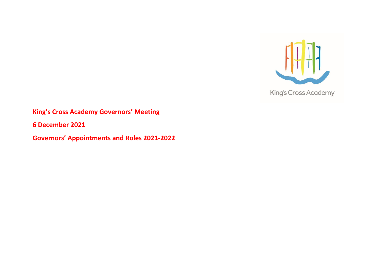

## **King's Cross Academy Governors' Meeting**

**6 December 2021**

**Governors' Appointments and Roles 2021-2022**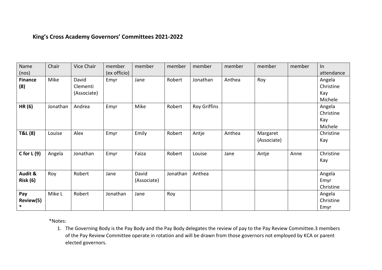## **King's Cross Academy Governors' Committees 2021-2022**

| Name<br>(nos)              | Chair    | <b>Vice Chair</b>                | member<br>(ex officio) | member               | member   | member       | member | member                  | member | In<br>attendance                      |
|----------------------------|----------|----------------------------------|------------------------|----------------------|----------|--------------|--------|-------------------------|--------|---------------------------------------|
| <b>Finance</b><br>(8)      | Mike     | David<br>Clementi<br>(Associate) | Emyr                   | Jane                 | Robert   | Jonathan     | Anthea | Roy                     |        | Angela<br>Christine<br>Kay<br>Michele |
| HR (6)                     | Jonathan | Andrea                           | Emyr                   | Mike                 | Robert   | Roy Griffins |        |                         |        | Angela<br>Christine<br>Kay<br>Michele |
| T&L (8)                    | Louise   | Alex                             | Emyr                   | Emily                | Robert   | Antje        | Anthea | Margaret<br>(Associate) |        | Christine<br>Kay                      |
| C for $L(9)$               | Angela   | Jonathan                         | Emyr                   | Faiza                | Robert   | Louise       | Jane   | Antje                   | Anne   | Christine<br>Kay                      |
| Audit &<br><b>Risk (6)</b> | Roy      | Robert                           | Jane                   | David<br>(Associate) | Jonathan | Anthea       |        |                         |        | Angela<br>Emyr<br>Christine           |
| Pay<br>Review(5)<br>$\ast$ | Mike L   | Robert                           | Jonathan               | Jane                 | Roy      |              |        |                         |        | Angela<br>Christine<br>Emyr           |

\*Notes:

1. The Governing Body is the Pay Body and the Pay Body delegates the review of pay to the Pay Review Committee.3 members of the Pay Review Committee operate in rotation and will be drawn from those governors not employed by KCA or parent elected governors.